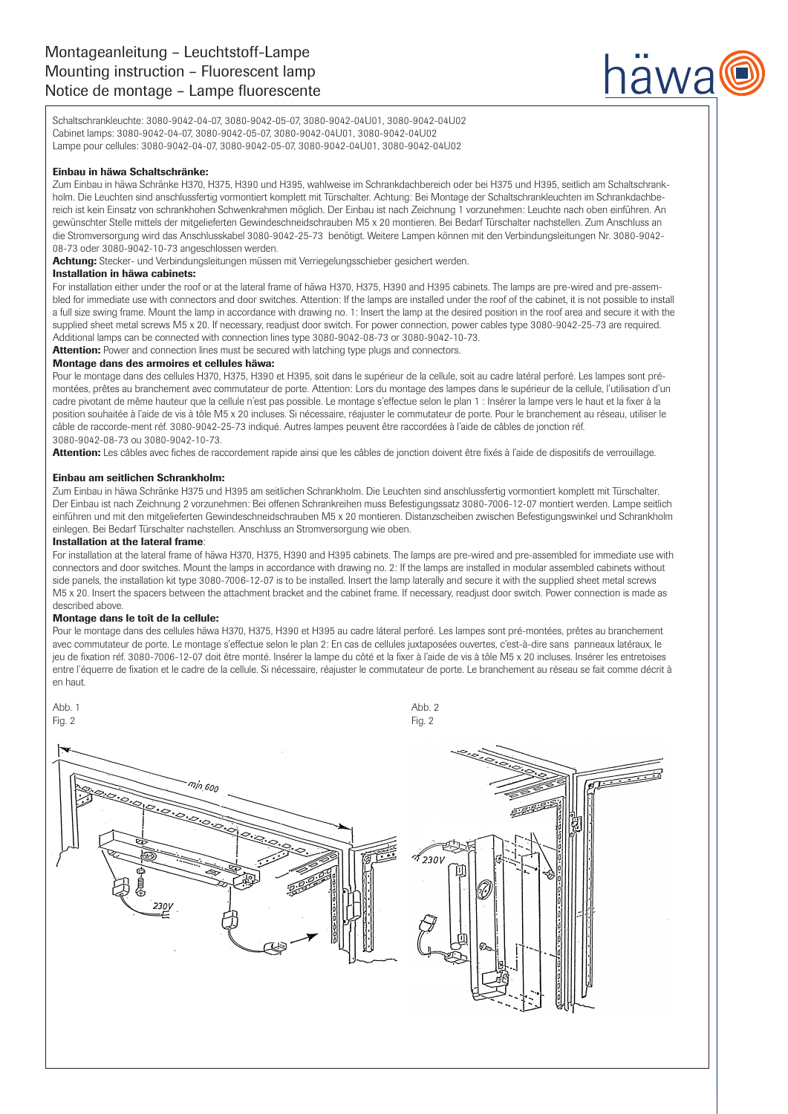# Montageanleitung – Leuchtstoff-Lampe Mounting instruction – Fluorescent lamp Notice de montage – Lampe fluorescente



Schaltschrankleuchte: 3080-9042-04-07, 3080-9042-05-07, 3080-9042-04U01, 3080-9042-04U02 Cabinet lamps: 3080-9042-04-07, 3080-9042-05-07, 3080-9042-04U01, 3080-9042-04U02 Lampe pour cellules: 3080-9042-04-07, 3080-9042-05-07, 3080-9042-04U01, 3080-9042-04U02

## Einbau in häwa Schaltschränke:

Zum Einbau in häwa Schränke H370, H375, H390 und H395, wahlweise im Schrankdachbereich oder bei H375 und H395, seitlich am Schaltschrankholm. Die Leuchten sind anschlussfertig vormontiert komplett mit Türschalter. Achtung: Bei Montage der Schaltschrankleuchten im Schrankdachbereich ist kein Einsatz von schrankhohen Schwenkrahmen möglich. Der Einbau ist nach Zeichnung 1 vorzunehmen: Leuchte nach oben einführen. An gewünschter Stelle mittels der mitgelieferten Gewindeschneidschrauben M5 x 20 montieren. Bei Bedarf Türschalter nachstellen. Zum Anschluss an die Stromversorgung wird das Anschlusskabel 3080-9042-25-73 benötigt. Weitere Lampen können mit den Verbindungsleitungen Nr. 3080-9042- 08-73 oder 3080-9042-10-73 angeschlossen werden.

Achtung: Stecker- und Verbindungsleitungen müssen mit Verriegelungsschieber gesichert werden.

#### Installation in häwa cabinets:

For installation either under the roof or at the lateral frame of häwa H370, H375, H390 and H395 cabinets. The lamps are pre-wired and pre-assembled for immediate use with connectors and door switches. Attention: If the lamps are installed under the roof of the cabinet, it is not possible to install a full size swing frame. Mount the lamp in accordance with drawing no. 1: Insert the lamp at the desired position in the roof area and secure it with the supplied sheet metal screws M5 x 20. If necessary, readjust door switch. For power connection, power cables type 3080-9042-25-73 are required. Additional lamps can be connected with connection lines type 3080-9042-08-73 or 3080-9042-10-73.

**Attention:** Power and connection lines must be secured with latching type plugs and connectors.

#### Montage dans des armoires et cellules häwa:

Pour le montage dans des cellules H370, H375, H390 et H395, soit dans le supérieur de la cellule, soit au cadre latéral perforé. Les lampes sont prémontées, prêtes au branchement avec commutateur de porte. Attention: Lors du montage des lampes dans le supérieur de la cellule, l'utilisation d'un cadre pivotant de même hauteur que la cellule n'est pas possible. Le montage s'effectue selon le plan 1 : Insérer la lampe vers le haut et la fixer à la position souhaitée à l'aide de vis à tôle M5 x 20 incluses. Si nécessaire, réajuster le commutateur de porte. Pour le branchement au réseau, utiliser le câble de raccorde-ment réf. 3080-9042-25-73 indiqué. Autres lampes peuvent être raccordées à l'aide de câbles de jonction réf. 3080-9042-08-73 ou 3080-9042-10-73.

Attention: Les câbles avec fiches de raccordement rapide ainsi que les câbles de jonction doivent être fixés à l'aide de dispositifs de verrouillage.

#### Einbau am seitlichen Schrankholm:

Zum Einbau in häwa Schränke H375 und H395 am seitlichen Schrankholm. Die Leuchten sind anschlussfertig vormontiert komplett mit Türschalter. Der Einbau ist nach Zeichnung 2 vorzunehmen: Bei offenen Schrankreihen muss Befestigungssatz 3080-7006-12-07 montiert werden. Lampe seitlich einführen und mit den mitgelieferten Gewindeschneidschrauben M5 x 20 montieren. Distanzscheiben zwischen Befestigungswinkel und Schrankholm einlegen. Bei Bedarf Türschalter nachstellen. Anschluss an Stromversorgung wie oben.

### Installation at the lateral frame:

For installation at the lateral frame of häwa H370, H375, H390 and H395 cabinets. The lamps are pre-wired and pre-assembled for immediate use with connectors and door switches. Mount the lamps in accordance with drawing no. 2: If the lamps are installed in modular assembled cabinets without side panels, the installation kit type 3080-7006-12-07 is to be installed. Insert the lamp laterally and secure it with the supplied sheet metal screws M5 x 20. Insert the spacers between the attachment bracket and the cabinet frame. If necessary, readjust door switch. Power connection is made as described above.

#### Montage dans le toît de la cellule:

Pour le montage dans des cellules häwa H370, H375, H390 et H395 au cadre láteral perforé. Les lampes sont pré-montées, prêtes au branchement avec commutateur de porte. Le montage s'effectue selon le plan 2: En cas de cellules juxtaposées ouvertes, c'est-à-dire sans panneaux latéraux, le jeu de fixation réf. 3080-7006-12-07 doit être monté. Insérer la lampe du côté et la fixer à l'aide de vis à tôle M5 x 20 incluses. Insérer les entretoises entre l'équerre de fixation et le cadre de la cellule. Si nécessaire, réajuster le commutateur de porte. Le branchement au réseau se fait comme décrit à en haut.